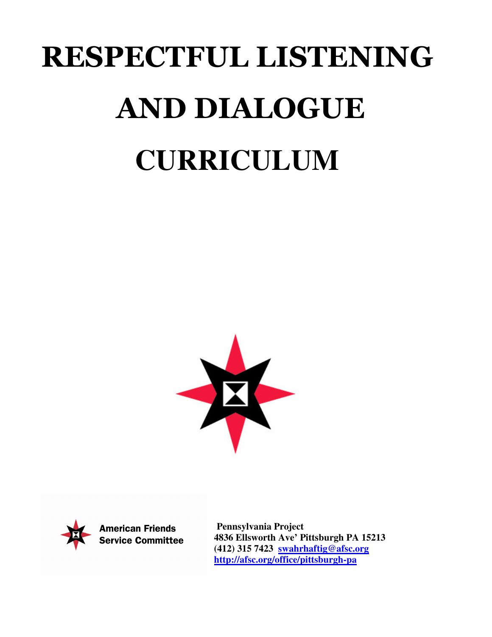# RESPECTFUL LISTENING AND DIALOGUE **CURRICULUM**





**American Friends Service Committee** 

**Pennsylvania Project 4836 Ellsworth Ave' Pittsburgh PA 15213 (412) 315 7423 swahrhaftig@afsc.org http://afsc.org/office/pittsburgh-pa**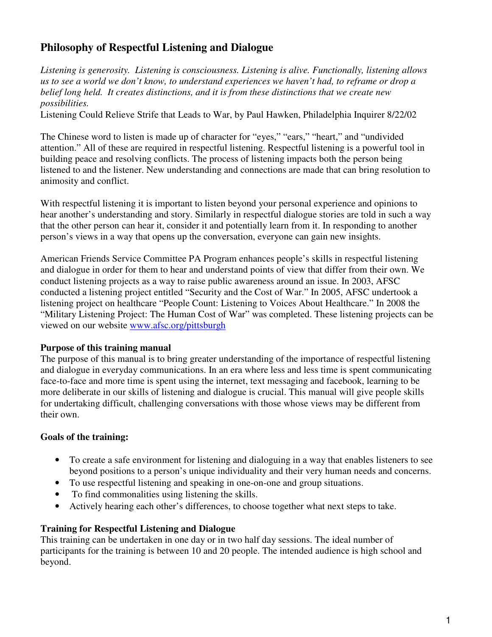# **Philosophy of Respectful Listening and Dialogue**

*Listening is generosity. Listening is consciousness. Listening is alive. Functionally, listening allows us to see a world we don't know, to understand experiences we haven't had, to reframe or drop a belief long held. It creates distinctions, and it is from these distinctions that we create new possibilities.*

Listening Could Relieve Strife that Leads to War, by Paul Hawken, Philadelphia Inquirer 8/22/02

The Chinese word to listen is made up of character for "eyes," "ears," "heart," and "undivided attention." All of these are required in respectful listening. Respectful listening is a powerful tool in building peace and resolving conflicts. The process of listening impacts both the person being listened to and the listener. New understanding and connections are made that can bring resolution to animosity and conflict.

With respectful listening it is important to listen beyond your personal experience and opinions to hear another's understanding and story. Similarly in respectful dialogue stories are told in such a way that the other person can hear it, consider it and potentially learn from it. In responding to another person's views in a way that opens up the conversation, everyone can gain new insights.

American Friends Service Committee PA Program enhances people's skills in respectful listening and dialogue in order for them to hear and understand points of view that differ from their own. We conduct listening projects as a way to raise public awareness around an issue. In 2003, AFSC conducted a listening project entitled "Security and the Cost of War." In 2005, AFSC undertook a listening project on healthcare "People Count: Listening to Voices About Healthcare." In 2008 the "Military Listening Project: The Human Cost of War" was completed. These listening projects can be viewed on our website www.afsc.org/pittsburgh

#### **Purpose of this training manual**

The purpose of this manual is to bring greater understanding of the importance of respectful listening and dialogue in everyday communications. In an era where less and less time is spent communicating face-to-face and more time is spent using the internet, text messaging and facebook, learning to be more deliberate in our skills of listening and dialogue is crucial. This manual will give people skills for undertaking difficult, challenging conversations with those whose views may be different from their own.

#### **Goals of the training:**

- To create a safe environment for listening and dialoguing in a way that enables listeners to see beyond positions to a person's unique individuality and their very human needs and concerns.
- To use respectful listening and speaking in one-on-one and group situations.
- To find commonalities using listening the skills.
- Actively hearing each other's differences, to choose together what next steps to take.

#### **Training for Respectful Listening and Dialogue**

This training can be undertaken in one day or in two half day sessions. The ideal number of participants for the training is between 10 and 20 people. The intended audience is high school and beyond.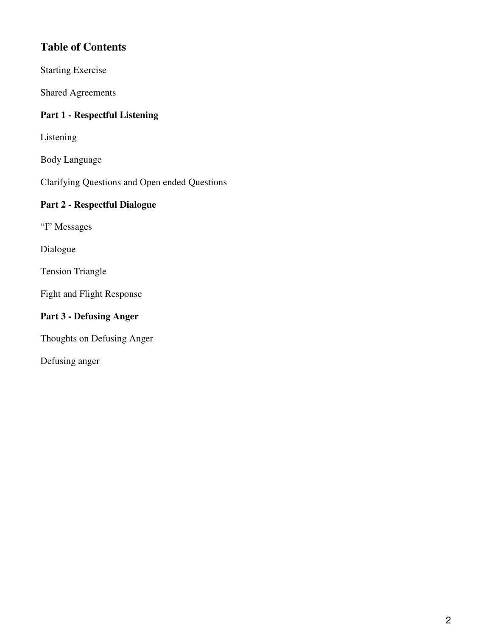# **Table of Contents**

Starting Exercise

Shared Agreements

#### **Part 1 - Respectful Listening**

Listening

Body Language

Clarifying Questions and Open ended Questions

#### **Part 2 - Respectful Dialogue**

"I" Messages

Dialogue

Tension Triangle

Fight and Flight Response

## **Part 3 - Defusing Anger**

Thoughts on Defusing Anger

Defusing anger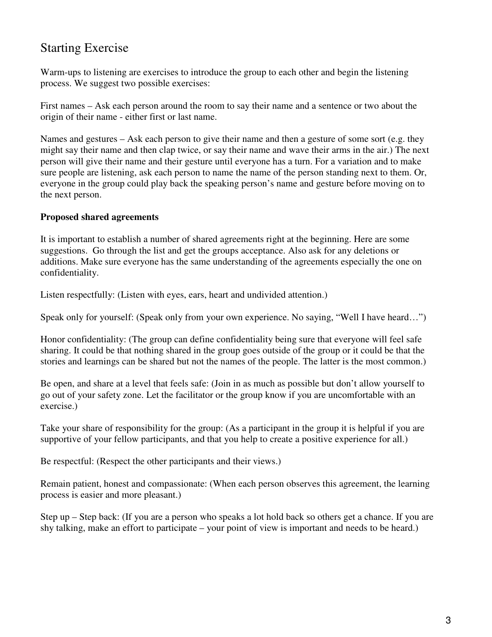# Starting Exercise

Warm-ups to listening are exercises to introduce the group to each other and begin the listening process. We suggest two possible exercises:

First names – Ask each person around the room to say their name and a sentence or two about the origin of their name - either first or last name.

Names and gestures – Ask each person to give their name and then a gesture of some sort (e.g. they might say their name and then clap twice, or say their name and wave their arms in the air.) The next person will give their name and their gesture until everyone has a turn. For a variation and to make sure people are listening, ask each person to name the name of the person standing next to them. Or, everyone in the group could play back the speaking person's name and gesture before moving on to the next person.

#### **Proposed shared agreements**

It is important to establish a number of shared agreements right at the beginning. Here are some suggestions. Go through the list and get the groups acceptance. Also ask for any deletions or additions. Make sure everyone has the same understanding of the agreements especially the one on confidentiality.

Listen respectfully: (Listen with eyes, ears, heart and undivided attention.)

Speak only for yourself: (Speak only from your own experience. No saying, "Well I have heard…")

Honor confidentiality: (The group can define confidentiality being sure that everyone will feel safe sharing. It could be that nothing shared in the group goes outside of the group or it could be that the stories and learnings can be shared but not the names of the people. The latter is the most common.)

Be open, and share at a level that feels safe: (Join in as much as possible but don't allow yourself to go out of your safety zone. Let the facilitator or the group know if you are uncomfortable with an exercise.)

Take your share of responsibility for the group: (As a participant in the group it is helpful if you are supportive of your fellow participants, and that you help to create a positive experience for all.)

Be respectful: (Respect the other participants and their views.)

Remain patient, honest and compassionate: (When each person observes this agreement, the learning process is easier and more pleasant.)

Step up – Step back: (If you are a person who speaks a lot hold back so others get a chance. If you are shy talking, make an effort to participate – your point of view is important and needs to be heard.)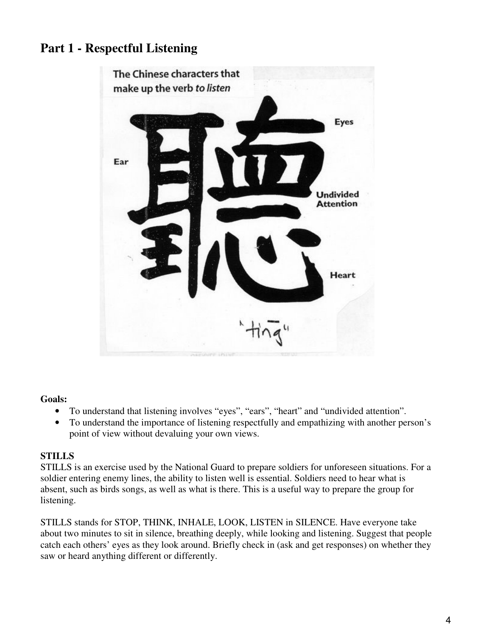# **Part 1 - Respectful Listening**



#### **Goals:**

- To understand that listening involves "eyes", "ears", "heart" and "undivided attention".
- To understand the importance of listening respectfully and empathizing with another person's point of view without devaluing your own views.

#### **STILLS**

STILLS is an exercise used by the National Guard to prepare soldiers for unforeseen situations. For a soldier entering enemy lines, the ability to listen well is essential. Soldiers need to hear what is absent, such as birds songs, as well as what is there. This is a useful way to prepare the group for listening.

STILLS stands for STOP, THINK, INHALE, LOOK, LISTEN in SILENCE. Have everyone take about two minutes to sit in silence, breathing deeply, while looking and listening. Suggest that people catch each others' eyes as they look around. Briefly check in (ask and get responses) on whether they saw or heard anything different or differently.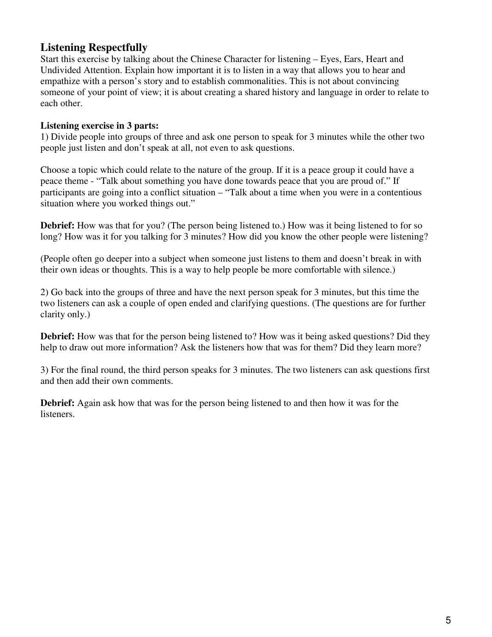## **Listening Respectfully**

Start this exercise by talking about the Chinese Character for listening – Eyes, Ears, Heart and Undivided Attention. Explain how important it is to listen in a way that allows you to hear and empathize with a person's story and to establish commonalities. This is not about convincing someone of your point of view; it is about creating a shared history and language in order to relate to each other.

#### **Listening exercise in 3 parts:**

1) Divide people into groups of three and ask one person to speak for 3 minutes while the other two people just listen and don't speak at all, not even to ask questions.

Choose a topic which could relate to the nature of the group. If it is a peace group it could have a peace theme - "Talk about something you have done towards peace that you are proud of." If participants are going into a conflict situation – "Talk about a time when you were in a contentious situation where you worked things out."

**Debrief:** How was that for you? (The person being listened to.) How was it being listened to for so long? How was it for you talking for 3 minutes? How did you know the other people were listening?

(People often go deeper into a subject when someone just listens to them and doesn't break in with their own ideas or thoughts. This is a way to help people be more comfortable with silence.)

2) Go back into the groups of three and have the next person speak for 3 minutes, but this time the two listeners can ask a couple of open ended and clarifying questions. (The questions are for further clarity only.)

**Debrief:** How was that for the person being listened to? How was it being asked questions? Did they help to draw out more information? Ask the listeners how that was for them? Did they learn more?

3) For the final round, the third person speaks for 3 minutes. The two listeners can ask questions first and then add their own comments.

**Debrief:** Again ask how that was for the person being listened to and then how it was for the listeners.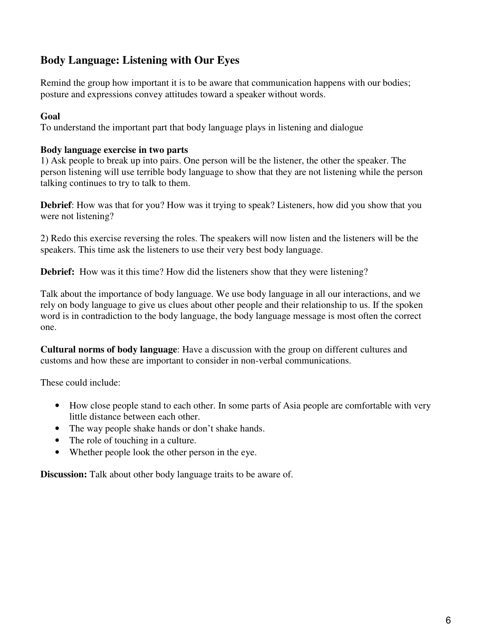## **Body Language: Listening with Our Eyes**

Remind the group how important it is to be aware that communication happens with our bodies; posture and expressions convey attitudes toward a speaker without words.

#### **Goal**

To understand the important part that body language plays in listening and dialogue

#### **Body language exercise in two parts**

1) Ask people to break up into pairs. One person will be the listener, the other the speaker. The person listening will use terrible body language to show that they are not listening while the person talking continues to try to talk to them.

**Debrief**: How was that for you? How was it trying to speak? Listeners, how did you show that you were not listening?

2) Redo this exercise reversing the roles. The speakers will now listen and the listeners will be the speakers. This time ask the listeners to use their very best body language.

**Debrief:** How was it this time? How did the listeners show that they were listening?

Talk about the importance of body language. We use body language in all our interactions, and we rely on body language to give us clues about other people and their relationship to us. If the spoken word is in contradiction to the body language, the body language message is most often the correct one.

**Cultural norms of body language**: Have a discussion with the group on different cultures and customs and how these are important to consider in non-verbal communications.

These could include:

- How close people stand to each other. In some parts of Asia people are comfortable with very little distance between each other.
- The way people shake hands or don't shake hands.
- The role of touching in a culture.
- Whether people look the other person in the eye.

**Discussion:** Talk about other body language traits to be aware of.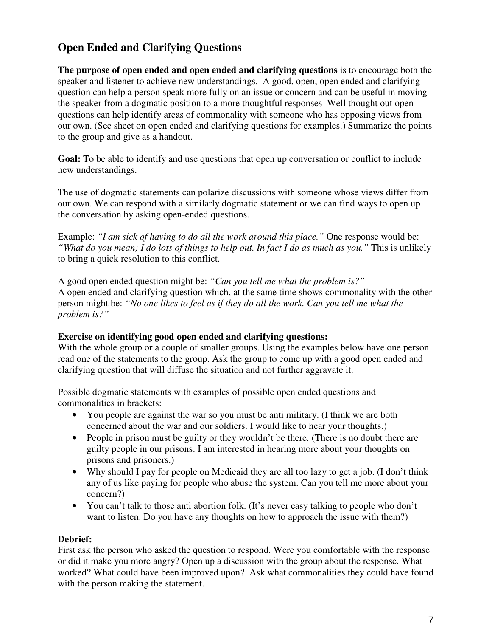# **Open Ended and Clarifying Questions**

**The purpose of open ended and open ended and clarifying questions** is to encourage both the speaker and listener to achieve new understandings. A good, open, open ended and clarifying question can help a person speak more fully on an issue or concern and can be useful in moving the speaker from a dogmatic position to a more thoughtful responses Well thought out open questions can help identify areas of commonality with someone who has opposing views from our own. (See sheet on open ended and clarifying questions for examples.) Summarize the points to the group and give as a handout.

**Goal:** To be able to identify and use questions that open up conversation or conflict to include new understandings.

The use of dogmatic statements can polarize discussions with someone whose views differ from our own. We can respond with a similarly dogmatic statement or we can find ways to open up the conversation by asking open-ended questions.

Example: *"I am sick of having to do all the work around this place."* One response would be: *"What do you mean; I do lots of things to help out. In fact I do as much as you."* This is unlikely to bring a quick resolution to this conflict.

A good open ended question might be: *"Can you tell me what the problem is?"* A open ended and clarifying question which, at the same time shows commonality with the other person might be: *"No one likes to feel as if they do all the work. Can you tell me what the problem is?"* 

#### **Exercise on identifying good open ended and clarifying questions:**

With the whole group or a couple of smaller groups. Using the examples below have one person read one of the statements to the group. Ask the group to come up with a good open ended and clarifying question that will diffuse the situation and not further aggravate it.

Possible dogmatic statements with examples of possible open ended questions and commonalities in brackets:

- You people are against the war so you must be anti military. (I think we are both concerned about the war and our soldiers. I would like to hear your thoughts.)
- People in prison must be guilty or they wouldn't be there. (There is no doubt there are guilty people in our prisons. I am interested in hearing more about your thoughts on prisons and prisoners.)
- Why should I pay for people on Medicaid they are all too lazy to get a job. (I don't think any of us like paying for people who abuse the system. Can you tell me more about your concern?)
- You can't talk to those anti abortion folk. (It's never easy talking to people who don't want to listen. Do you have any thoughts on how to approach the issue with them?)

#### **Debrief:**

First ask the person who asked the question to respond. Were you comfortable with the response or did it make you more angry? Open up a discussion with the group about the response. What worked? What could have been improved upon? Ask what commonalities they could have found with the person making the statement.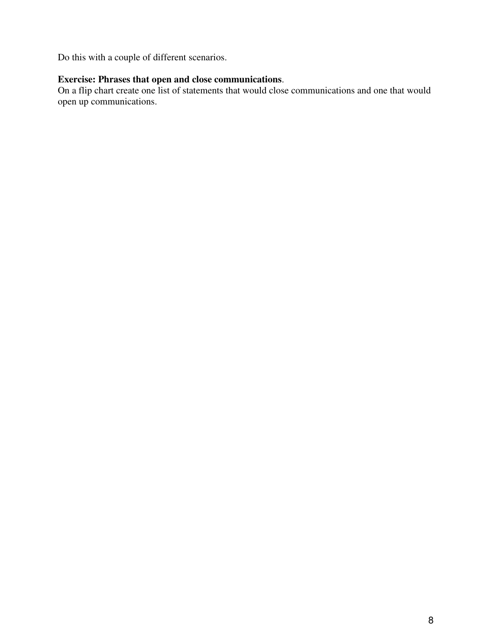Do this with a couple of different scenarios.

#### **Exercise: Phrases that open and close communications**.

On a flip chart create one list of statements that would close communications and one that would open up communications.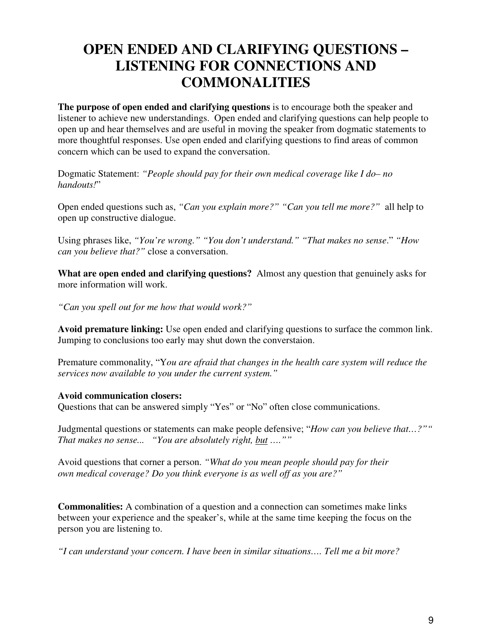# **OPEN ENDED AND CLARIFYING QUESTIONS – LISTENING FOR CONNECTIONS AND COMMONALITIES**

**The purpose of open ended and clarifying questions** is to encourage both the speaker and listener to achieve new understandings. Open ended and clarifying questions can help people to open up and hear themselves and are useful in moving the speaker from dogmatic statements to more thoughtful responses. Use open ended and clarifying questions to find areas of common concern which can be used to expand the conversation.

Dogmatic Statement: *"People should pay for their own medical coverage like I do– no handouts!*"

Open ended questions such as, *"Can you explain more?" "Can you tell me more?"* all help to open up constructive dialogue.

Using phrases like, *"You're wrong." "You don't understand." "That makes no sense*." *"How can you believe that?"* close a conversation.

**What are open ended and clarifying questions?** Almost any question that genuinely asks for more information will work.

*"Can you spell out for me how that would work?"* 

**Avoid premature linking:** Use open ended and clarifying questions to surface the common link. Jumping to conclusions too early may shut down the converstaion.

Premature commonality, "Y*ou are afraid that changes in the health care system will reduce the services now available to you under the current system."* 

#### **Avoid communication closers:**

Questions that can be answered simply "Yes" or "No" often close communications.

Judgmental questions or statements can make people defensive; "*How can you believe that…?"" That makes no sense... "You are absolutely right, but ….""* 

Avoid questions that corner a person. *"What do you mean people should pay for their own medical coverage? Do you think everyone is as well off as you are?"* 

**Commonalities:** A combination of a question and a connection can sometimes make links between your experience and the speaker's, while at the same time keeping the focus on the person you are listening to.

*"I can understand your concern. I have been in similar situations…. Tell me a bit more?*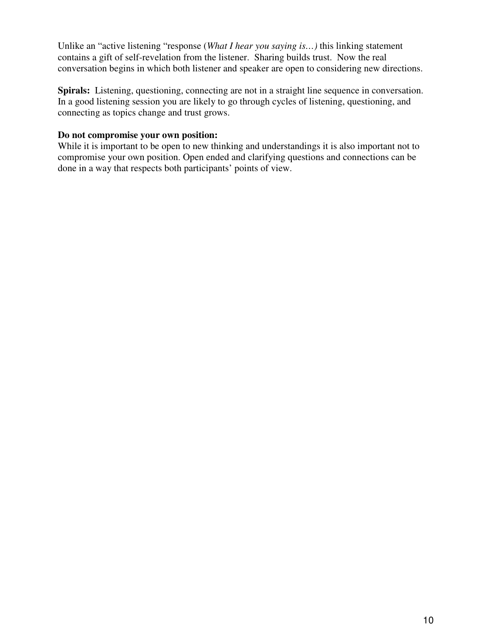Unlike an "active listening "response (*What I hear you saying is…)* this linking statement contains a gift of self-revelation from the listener. Sharing builds trust. Now the real conversation begins in which both listener and speaker are open to considering new directions.

**Spirals:**Listening, questioning, connecting are not in a straight line sequence in conversation. In a good listening session you are likely to go through cycles of listening, questioning, and connecting as topics change and trust grows.

#### **Do not compromise your own position:**

While it is important to be open to new thinking and understandings it is also important not to compromise your own position. Open ended and clarifying questions and connections can be done in a way that respects both participants' points of view.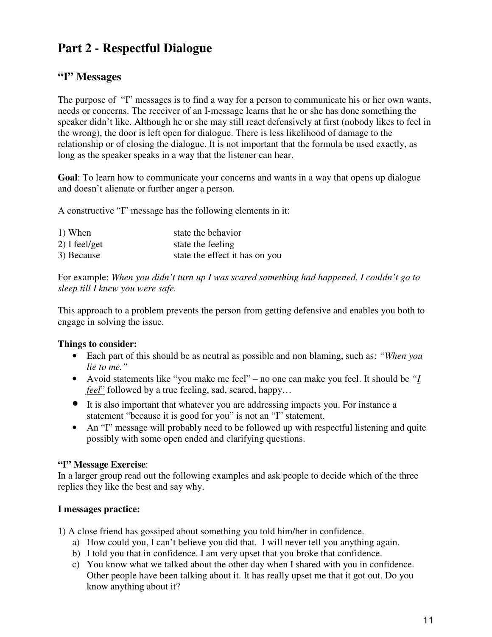# **Part 2 - Respectful Dialogue**

## **"I" Messages**

The purpose of "I" messages is to find a way for a person to communicate his or her own wants, needs or concerns. The receiver of an I-message learns that he or she has done something the speaker didn't like. Although he or she may still react defensively at first (nobody likes to feel in the wrong), the door is left open for dialogue. There is less likelihood of damage to the relationship or of closing the dialogue. It is not important that the formula be used exactly, as long as the speaker speaks in a way that the listener can hear.

**Goal**: To learn how to communicate your concerns and wants in a way that opens up dialogue and doesn't alienate or further anger a person.

A constructive "I" message has the following elements in it:

| 1) When         | state the behavior             |
|-----------------|--------------------------------|
| $2)$ I feel/get | state the feeling              |
| 3) Because      | state the effect it has on you |

For example: *When you didn't turn up I was scared something had happened. I couldn't go to sleep till I knew you were safe.* 

This approach to a problem prevents the person from getting defensive and enables you both to engage in solving the issue.

#### **Things to consider:**

- Each part of this should be as neutral as possible and non blaming, such as: *"When you lie to me."*
- Avoid statements like "you make me feel" no one can make you feel. It should be *"I feel*" followed by a true feeling, sad, scared, happy...
- It is also important that whatever you are addressing impacts you. For instance a statement "because it is good for you" is not an "I" statement.
- An "I" message will probably need to be followed up with respectful listening and quite possibly with some open ended and clarifying questions.

#### **"I" Message Exercise**:

In a larger group read out the following examples and ask people to decide which of the three replies they like the best and say why.

#### **I messages practice:**

1) A close friend has gossiped about something you told him/her in confidence.

- a) How could you, I can't believe you did that. I will never tell you anything again.
- b) I told you that in confidence. I am very upset that you broke that confidence.
- c) You know what we talked about the other day when I shared with you in confidence. Other people have been talking about it. It has really upset me that it got out. Do you know anything about it?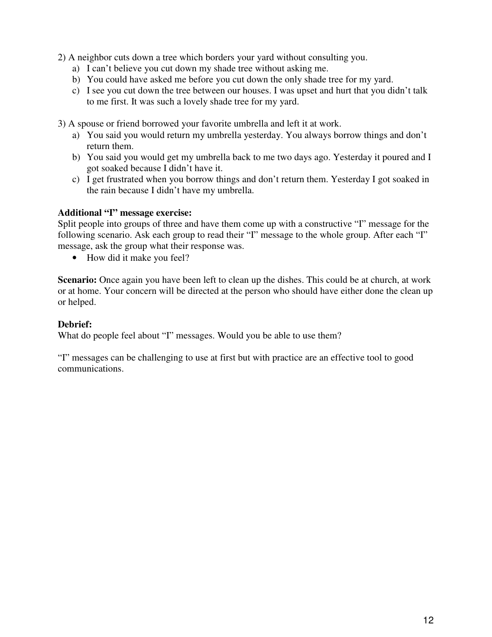- 2) A neighbor cuts down a tree which borders your yard without consulting you.
	- a) I can't believe you cut down my shade tree without asking me.
	- b) You could have asked me before you cut down the only shade tree for my yard.
	- c) I see you cut down the tree between our houses. I was upset and hurt that you didn't talk to me first. It was such a lovely shade tree for my yard.

3) A spouse or friend borrowed your favorite umbrella and left it at work.

- a) You said you would return my umbrella yesterday. You always borrow things and don't return them.
- b) You said you would get my umbrella back to me two days ago. Yesterday it poured and I got soaked because I didn't have it.
- c) I get frustrated when you borrow things and don't return them. Yesterday I got soaked in the rain because I didn't have my umbrella.

#### **Additional "I" message exercise:**

Split people into groups of three and have them come up with a constructive "I" message for the following scenario. Ask each group to read their "I" message to the whole group. After each "I" message, ask the group what their response was.

• How did it make you feel?

**Scenario:** Once again you have been left to clean up the dishes. This could be at church, at work or at home. Your concern will be directed at the person who should have either done the clean up or helped.

#### **Debrief:**

What do people feel about "I" messages. Would you be able to use them?

"I" messages can be challenging to use at first but with practice are an effective tool to good communications.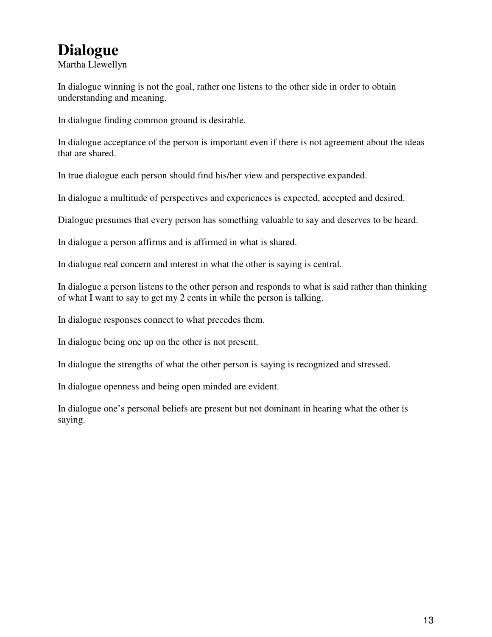# **Dialogue**

Martha Llewellyn

In dialogue winning is not the goal, rather one listens to the other side in order to obtain understanding and meaning.

In dialogue finding common ground is desirable.

In dialogue acceptance of the person is important even if there is not agreement about the ideas that are shared.

In true dialogue each person should find his/her view and perspective expanded.

In dialogue a multitude of perspectives and experiences is expected, accepted and desired.

Dialogue presumes that every person has something valuable to say and deserves to be heard.

In dialogue a person affirms and is affirmed in what is shared.

In dialogue real concern and interest in what the other is saying is central.

In dialogue a person listens to the other person and responds to what is said rather than thinking of what I want to say to get my 2 cents in while the person is talking.

In dialogue responses connect to what precedes them.

In dialogue being one up on the other is not present.

In dialogue the strengths of what the other person is saying is recognized and stressed.

In dialogue openness and being open minded are evident.

In dialogue one's personal beliefs are present but not dominant in hearing what the other is saying.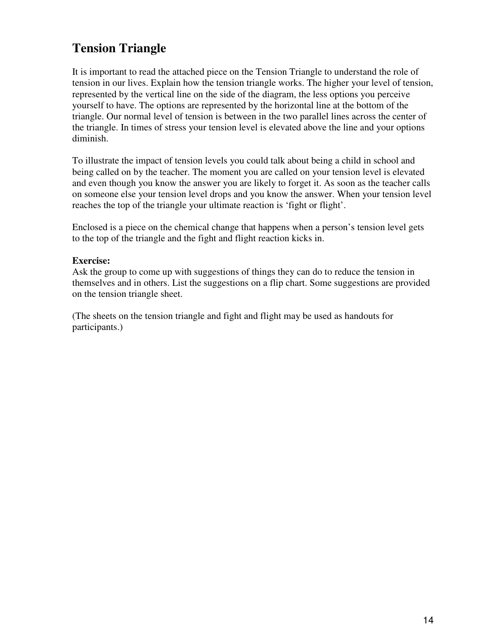# **Tension Triangle**

It is important to read the attached piece on the Tension Triangle to understand the role of tension in our lives. Explain how the tension triangle works. The higher your level of tension, represented by the vertical line on the side of the diagram, the less options you perceive yourself to have. The options are represented by the horizontal line at the bottom of the triangle. Our normal level of tension is between in the two parallel lines across the center of the triangle. In times of stress your tension level is elevated above the line and your options diminish.

To illustrate the impact of tension levels you could talk about being a child in school and being called on by the teacher. The moment you are called on your tension level is elevated and even though you know the answer you are likely to forget it. As soon as the teacher calls on someone else your tension level drops and you know the answer. When your tension level reaches the top of the triangle your ultimate reaction is 'fight or flight'.

Enclosed is a piece on the chemical change that happens when a person's tension level gets to the top of the triangle and the fight and flight reaction kicks in.

#### **Exercise:**

Ask the group to come up with suggestions of things they can do to reduce the tension in themselves and in others. List the suggestions on a flip chart. Some suggestions are provided on the tension triangle sheet.

(The sheets on the tension triangle and fight and flight may be used as handouts for participants.)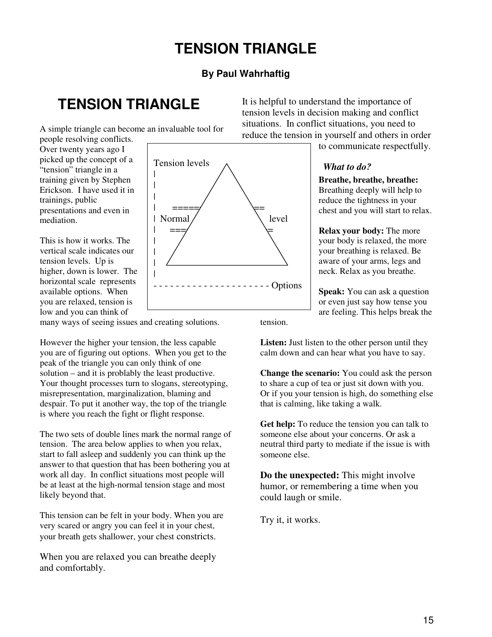# **TENSION TRIANGLE**

#### **By Paul Wahrhaftig**

# **TENSION TRIANGLE**

A simple triangle can become an invaluable tool for

people resolving conflicts. Over twenty years ago I picked up the concept of a "tension" triangle in a training given by Stephen Erickson. I have used it in trainings, public presentations and even in mediation.

This is how it works. The vertical scale indicates our tension levels. Up is higher, down is lower. The horizontal scale represents available options. When you are relaxed, tension is low and you can think of

many ways of seeing issues and creating solutions.

However the higher your tension, the less capable you are of figuring out options. When you get to the peak of the triangle you can only think of one solution – and it is problably the least productive. Your thought processes turn to slogans, stereotyping, misrepresentation, marginalization, blaming and despair. To put it another way, the top of the triangle is where you reach the fight or flight response.

The two sets of double lines mark the normal range of tension. The area below applies to when you relax, start to fall asleep and suddenly you can think up the answer to that question that has been bothering you at work all day. In conflict situations most people will be at least at the high-normal tension stage and most likely beyond that.

This tension can be felt in your body. When you are very scared or angry you can feel it in your chest, your breath gets shallower, your chest constricts.

When you are relaxed you can breathe deeply and comfortably.



It is helpful to understand the importance of tension levels in decision making and conflict situations. In conflict situations, you need to reduce the tension in yourself and others in order

to communicate respectfully.

#### *What to do?*

**Breathe, breathe, breathe:**  Breathing deeply will help to reduce the tightness in your chest and you will start to relax.

**Relax your body:** The more your body is relaxed, the more your breathing is relaxed. Be aware of your arms, legs and neck. Relax as you breathe.

**Speak:** You can ask a question or even just say how tense you are feeling. This helps break the

tension.

**Listen:** Just listen to the other person until they calm down and can hear what you have to say.

**Change the scenario:** You could ask the person to share a cup of tea or just sit down with you. Or if you your tension is high, do something else that is calming, like taking a walk.

**Get help:** To reduce the tension you can talk to someone else about your concerns. Or ask a neutral third party to mediate if the issue is with someone else.

**Do the unexpected:** This might involve humor, or remembering a time when you could laugh or smile.

Try it, it works.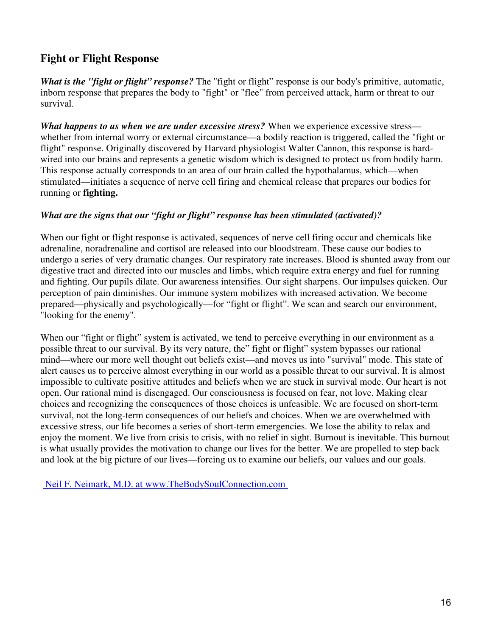# **Fight or Flight Response**

*What is the "fight or flight" response?* The "fight or flight" response is our body's primitive, automatic, inborn response that prepares the body to "fight" or "flee" from perceived attack, harm or threat to our survival.

*What happens to us when we are under excessive stress?* When we experience excessive stress whether from internal worry or external circumstance—a bodily reaction is triggered, called the "fight or flight" response. Originally discovered by Harvard physiologist Walter Cannon, this response is hardwired into our brains and represents a genetic wisdom which is designed to protect us from bodily harm. This response actually corresponds to an area of our brain called the hypothalamus, which—when stimulated—initiates a sequence of nerve cell firing and chemical release that prepares our bodies for running or **fighting.** 

#### *What are the signs that our "fight or flight" response has been stimulated (activated)?*

When our fight or flight response is activated, sequences of nerve cell firing occur and chemicals like adrenaline, noradrenaline and cortisol are released into our bloodstream. These cause our bodies to undergo a series of very dramatic changes. Our respiratory rate increases. Blood is shunted away from our digestive tract and directed into our muscles and limbs, which require extra energy and fuel for running and fighting. Our pupils dilate. Our awareness intensifies. Our sight sharpens. Our impulses quicken. Our perception of pain diminishes. Our immune system mobilizes with increased activation. We become prepared—physically and psychologically—for "fight or flight". We scan and search our environment, "looking for the enemy".

When our "fight or flight" system is activated, we tend to perceive everything in our environment as a possible threat to our survival. By its very nature, the" fight or flight" system bypasses our rational mind—where our more well thought out beliefs exist—and moves us into "survival" mode. This state of alert causes us to perceive almost everything in our world as a possible threat to our survival. It is almost impossible to cultivate positive attitudes and beliefs when we are stuck in survival mode. Our heart is not open. Our rational mind is disengaged. Our consciousness is focused on fear, not love. Making clear choices and recognizing the consequences of those choices is unfeasible. We are focused on short-term survival, not the long-term consequences of our beliefs and choices. When we are overwhelmed with excessive stress, our life becomes a series of short-term emergencies. We lose the ability to relax and enjoy the moment. We live from crisis to crisis, with no relief in sight. Burnout is inevitable. This burnout is what usually provides the motivation to change our lives for the better. We are propelled to step back and look at the big picture of our lives—forcing us to examine our beliefs, our values and our goals.

Neil F. Neimark, M.D. at www.TheBodySoulConnection.com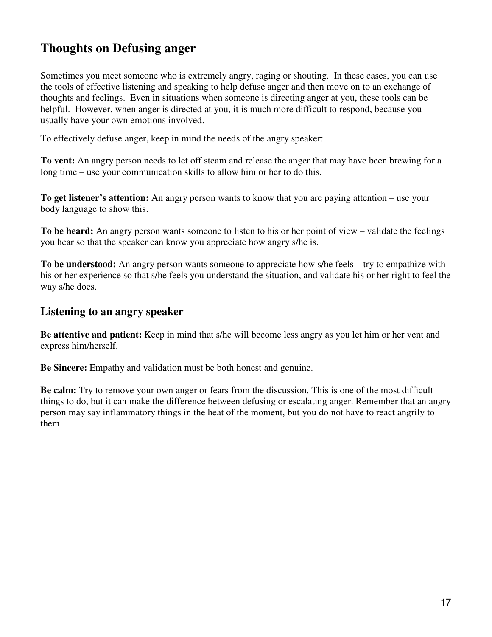# **Thoughts on Defusing anger**

Sometimes you meet someone who is extremely angry, raging or shouting. In these cases, you can use the tools of effective listening and speaking to help defuse anger and then move on to an exchange of thoughts and feelings. Even in situations when someone is directing anger at you, these tools can be helpful. However, when anger is directed at you, it is much more difficult to respond, because you usually have your own emotions involved.

To effectively defuse anger, keep in mind the needs of the angry speaker:

**To vent:** An angry person needs to let off steam and release the anger that may have been brewing for a long time – use your communication skills to allow him or her to do this.

**To get listener's attention:** An angry person wants to know that you are paying attention – use your body language to show this.

**To be heard:** An angry person wants someone to listen to his or her point of view – validate the feelings you hear so that the speaker can know you appreciate how angry s/he is.

**To be understood:** An angry person wants someone to appreciate how s/he feels – try to empathize with his or her experience so that s/he feels you understand the situation, and validate his or her right to feel the way s/he does.

#### **Listening to an angry speaker**

**Be attentive and patient:** Keep in mind that s/he will become less angry as you let him or her vent and express him/herself.

**Be Sincere:** Empathy and validation must be both honest and genuine.

**Be calm:** Try to remove your own anger or fears from the discussion. This is one of the most difficult things to do, but it can make the difference between defusing or escalating anger. Remember that an angry person may say inflammatory things in the heat of the moment, but you do not have to react angrily to them.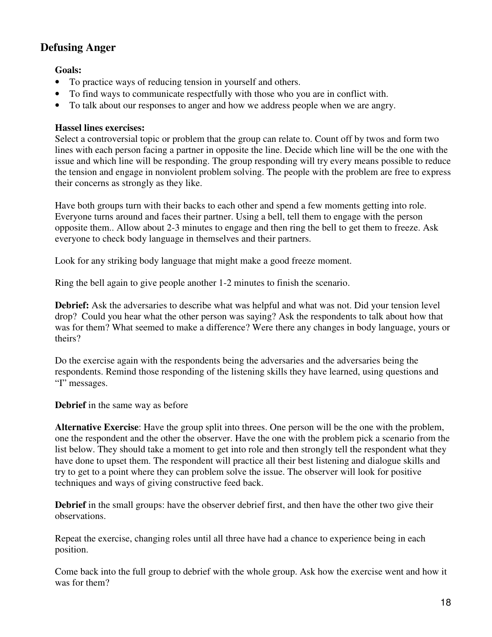#### **Defusing Anger**

**Goals:** 

- To practice ways of reducing tension in yourself and others.
- To find ways to communicate respectfully with those who you are in conflict with.
- To talk about our responses to anger and how we address people when we are angry.

#### **Hassel lines exercises:**

Select a controversial topic or problem that the group can relate to. Count off by twos and form two lines with each person facing a partner in opposite the line. Decide which line will be the one with the issue and which line will be responding. The group responding will try every means possible to reduce the tension and engage in nonviolent problem solving. The people with the problem are free to express their concerns as strongly as they like.

Have both groups turn with their backs to each other and spend a few moments getting into role. Everyone turns around and faces their partner. Using a bell, tell them to engage with the person opposite them.. Allow about 2-3 minutes to engage and then ring the bell to get them to freeze. Ask everyone to check body language in themselves and their partners.

Look for any striking body language that might make a good freeze moment.

Ring the bell again to give people another 1-2 minutes to finish the scenario.

**Debrief:** Ask the adversaries to describe what was helpful and what was not. Did your tension level drop? Could you hear what the other person was saying? Ask the respondents to talk about how that was for them? What seemed to make a difference? Were there any changes in body language, yours or theirs?

Do the exercise again with the respondents being the adversaries and the adversaries being the respondents. Remind those responding of the listening skills they have learned, using questions and "I" messages.

**Debrief** in the same way as before

**Alternative Exercise**: Have the group split into threes. One person will be the one with the problem, one the respondent and the other the observer. Have the one with the problem pick a scenario from the list below. They should take a moment to get into role and then strongly tell the respondent what they have done to upset them. The respondent will practice all their best listening and dialogue skills and try to get to a point where they can problem solve the issue. The observer will look for positive techniques and ways of giving constructive feed back.

**Debrief** in the small groups: have the observer debrief first, and then have the other two give their observations.

Repeat the exercise, changing roles until all three have had a chance to experience being in each position.

Come back into the full group to debrief with the whole group. Ask how the exercise went and how it was for them?